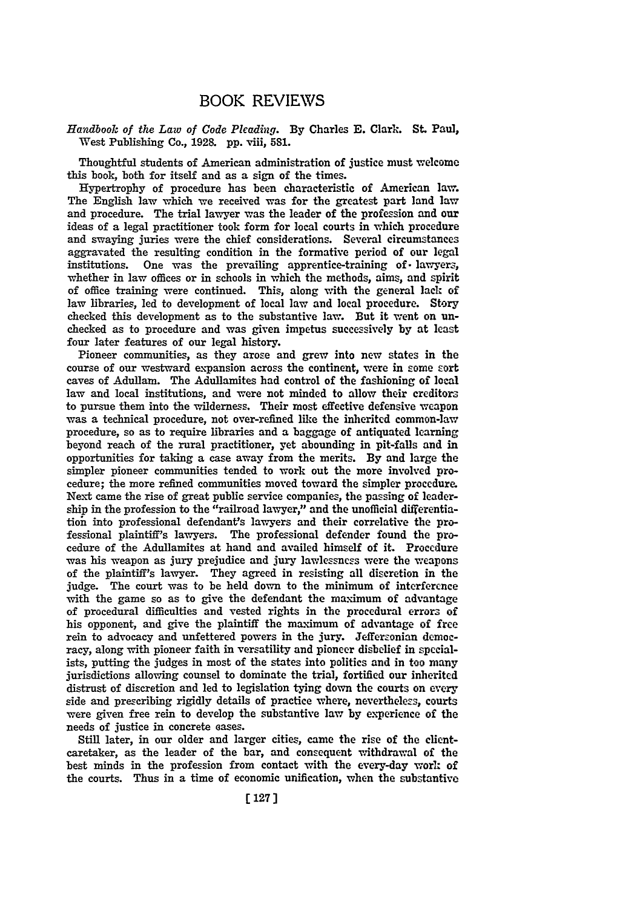*Handbook of the Law of Code Pleading.* **By** Charles **E.** Clark. **St.** Paul, West Publishing Co., 1928. pp. viii, **581.**

Thoughtful students of American administration of justice must welcome this book, both for itself and as a sign of the times.

Hypertrophy of procedure has been characteristic of American law. The English law which we received was for the greatest part land law and procedure. The trial lawyer was the leader of the profession and our ideas of a legal practitioner took form for local courts in which procedure and swaying juries were the chief considerations. Several circumstances aggravated the resulting condition in the formative period of our legal institutions. One was the prevailing apprentice-training **of-** lawyers, whether in law offices or in schools in which the methods, aims, and spirit of office training were continued. This, along with the general lack of law libraries, led to development of local law and local procedure. Story checked this development as to the substantive law. But it went on unchecked as to procedure and was given impetus successively by at least four later features of our legal history.

Pioneer communities, as they arose and grew into new states in the course of our westward expansion across the continent, were in some sort caves of Adullam. The Adullamites had control of the fashioning of local law and local institutions, and were not minded to allow their creditors to pursue them into the wilderness. Their most effective defensive weapon was a technical procedure, not over-refined like the inherited common-law procedure, so as to require libraries and a baggage of antiquated learning beyond reach of the rural practitioner, yet abounding in pit-falls and in opportunities for taking a case away from the merits. **By** and large the simpler pioneer communities tended to work out the more involved procedure; the more refined communities moved toward the simpler procedure. Next came the rise of great public service companies, the passing of leadership in the profession to the "railroad lawyer," and the unofficial differentiation into professional defendant's lawyers and their correlative the professional plaintiff's lawyers. The professional defender found the procedure of the Adullamites at hand and availed himself of it. Procedure was his weapon as jury prejudice and jury lawlessness were the weapons of the plaintiff's lawyer. They agreed in resisting all discretion in the judge. The court was to be held down to the minimum of interference with the game so as to give the defendant the maximum of advantage of procedural difficulties and vested rights in the procedural errors of his opponent, and give the plaintiff the maximum of advantage of free rein to advocacy and unfettered powers in the jury. Jeffersonian democracy, along with pioneer faith in versatility and pioneer disbelief in specialists, putting the judges in most of the states into politics and in too many jurisdictions allowing counsel to dominate the trial, fortified our inherited distrust of discretion and led to legislation tying down the courts on every side and prescribing rigidly details of practice where, nevertheless, courts were given free rein to develop the substantive law by experience of the needs of justice in concrete Gases.

Still later, in our older and larger cities, came the rise of the clientcaretaker, as the leader of the bar, and consequent withdrawal of the best minds in the profession from contact with the every-day work of the courts. Thus in a time of economic unification, when the substantive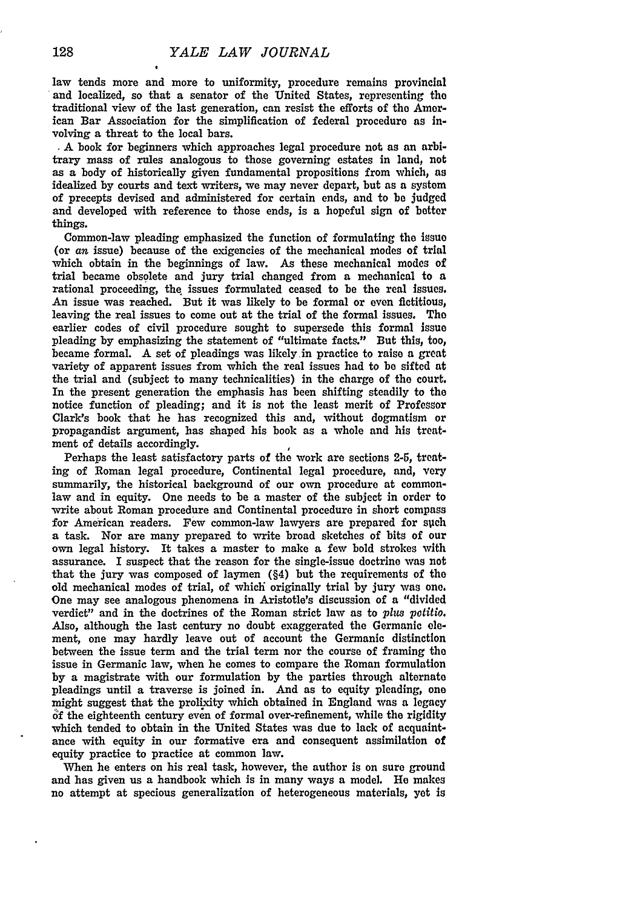law tends more and more to uniformity, procedure remains provincial and localized, so that a senator of the United States, representing **the** traditional view of the last generation, can resist the efforts of the American Bar Association for the simplification of federal procedure **as** involving a threat to the local bars.

A book for beginners which approaches legal procedure not as an arbitrary mass of rules analogous to those governing estates in land, not as a body of historically given fundamental propositions from which, as idealized **by** courts and text writers, we may never depart, but as a system of precepts devised and administered for certain ends, and to be **judged** and developed with reference to those ends, is a hopeful sign of better things.

Common-law pleading emphasized the function of formulating the issue (or *an* issue) because of the exigencies of the mechanical modes of trial which obtain in the beginnings of law. As these mechanical modes of trial became obsolete and jury trial changed from a mechanical to a rational proceeding, the issues formulated ceased to be the real issues. An issue was reached. But it was likely to be formal or even fictitious, leaving the real issues to come out at the trial of the formal issues. The earlier codes of civil procedure sought to supersede this formal issue pleading **by** emphasizing the statement of "ultimate facts." But this, too, became formal. A set of pleadings was likely in practice to raise **a** great variety of apparent issues from which the real issues had to **be** sifted at the trial and (subject to many technicalities) in the charge of the court. In the present generation the emphasis has been shifting steadily to the notice function of pleading; and it is not the least merit of Professor Clark's book that he has recognized this and, without dogmatism or propagandist argument, has shaped his book as a whole and his treatment of details accordingly.

Perhaps the least satisfactory parts of the work are sections **2-5,** treating of Roman legal procedure, Continental legal procedure, and, very summarily, the historical background of our own procedure at commonlaw and in equity. One needs to be a master of the subject in order to write about Roman procedure and Continental procedure in short compass for American readers. Few common-law lawyers are prepared for such a task. Nor are many prepared to write broad sketches of bits of our own legal history. It takes a master to make a few bold strokes with assurance. I suspect that the reason for the single-issue doctrine was not that the jury was composed of laymen **(§4)** but the requirements of the old mechanical modes of trial, of which originally trial by jury was one. One may see analogous phenomena in Aristotle's discussion of a "divided verdict" and in the doctrines of the Roman strict law as to *plus potitio*. Also, although the last century no doubt exaggerated the Germanic element, one may hardly leave out of account the Germanic distinction between the issue term and the trial term nor the course of framing the issue in Germanic law, when he comes to compare the Roman formulation **by** a magistrate with our formulation **by** the parties through alternate pleadings until a traverse is joined in. And as to equity pleading, one might suggest that the prolixity which obtained in England was a legacy **of** the eighteenth century even of formal over-refinement, while the rigidity which tended to obtain in the United States was due to lack of acquaintance with equity in our formative era and consequent assimilation of equity practice to practice at common law.

When he enters on his real task, however, the author is on sure ground and has given us a handbook which is in many ways a model. He makes no attempt at specious generalization of heterogeneous materials, yet is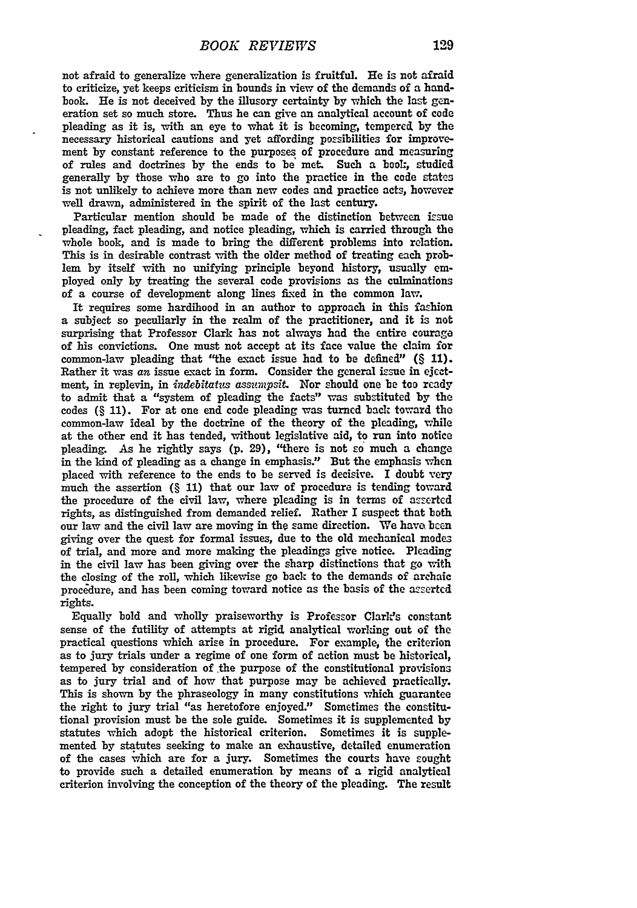not afraid to generalize where generalization is fruitful. He is not afraid to criticize, yet keeps criticisn in bounds in view of the demands of a handbook. He is not deceived by the illusory certainty by which the last generation set so much store. Thus he can give an analytical account of code pleading as it is, with an eye to what it is becoming, tempered, by the necessary historical cautions and yet affording possibilities for improvement **by** constant reference to the purposes of procedure and measuring of rules and doctrines **by** the ends to **be** met. Such a book, studied generally **by** those who are to go into the practice in the code states is not unlikely to achieve more than new codes and practice acts, however well drawn, administered in the spirit of the last century.

Particular mention should be made of the distinction between issue pleading, fact pleading, and notice pleading, which is carried through the whole book, and is made to bring the different problems into relation. This is in desirable contrast with the older method of treating each problem by itself with no unifying principle beyond history, usually employed only by treating the several code provisions as the culminations of a course of development along lines fixed in the common law.

It requires some hardihood in an author to approach in this fashion a subject so peculiarly in the realm of the practitioner, and it is not surprising that Professor Clark has not always had the entire courage of his convictions. One must not accept at its face value the claim for common-law pleading that "the exact issue had to be defined" *(§* 11). Rather it was an issue exact in form. Consider the general issue in ejectment, in replevin, in *indebtah's assumpsit.* Nor should one be too ready to admit that a "system of pleading the facts" was substituted **by** the codes *(§* 11). For at one end code pleading was turned back toward the common-law ideal by the doctrine of the theory of the pleading, while at the other end it has tended, without legislative aid, to run into notice pleading. As he rightly says (p. 29), "there is not so much a change in the kind of pleading as a change in emphasis." But the emphasis when placed with reference to the ends to be served is decisive. I doubt very much the assertion *(§* **11)** that our law of procedure is tending toward the procedure of the civil law, where pleading is in terms of asserted rights, as distinguished from demanded relief. Rather I suspect that both our law and the civil law are moving in the same direction. We have been giving over the quest for formal issues, due to the old mechanical modes of trial, and more and more making the pleadings give notice. Pleading in the civil law has been giving over the sharp distinctions that go with the closing of the roll, which likewise go back to the demands of archaic procedure, and has been coming toward notice as the basis of the asserted rights.

Equally bold and wholly praiseworthy is Professor Clark's constant sense of the futility of attempts at rigid analytical working out **of** the practical questions which arise in procedure. For example, the criterion as to jury trials under a regime of one form of action must be historical, tempered by consideration of .the purpose of the constitutional provisions as to jury trial and of how that purpose may be achieved practically. This is shown **by** the phraseology in many constitutions which guarantee the right to jury trial "as heretofore enjoyed." Sometimes the constitutional provision must be the sole guide. Sometimes it is supplemented **by** statutes which adopt the historical criterion. Sometimes it is supplemented by statutes seeking to make an exhaustive, detailed enumeration of the cases which are for a jury. Sometimes the courts have sought to provide such a detailed enumeration by means of a rigid analytical criterion involving the conception of the theory of the pleading. The result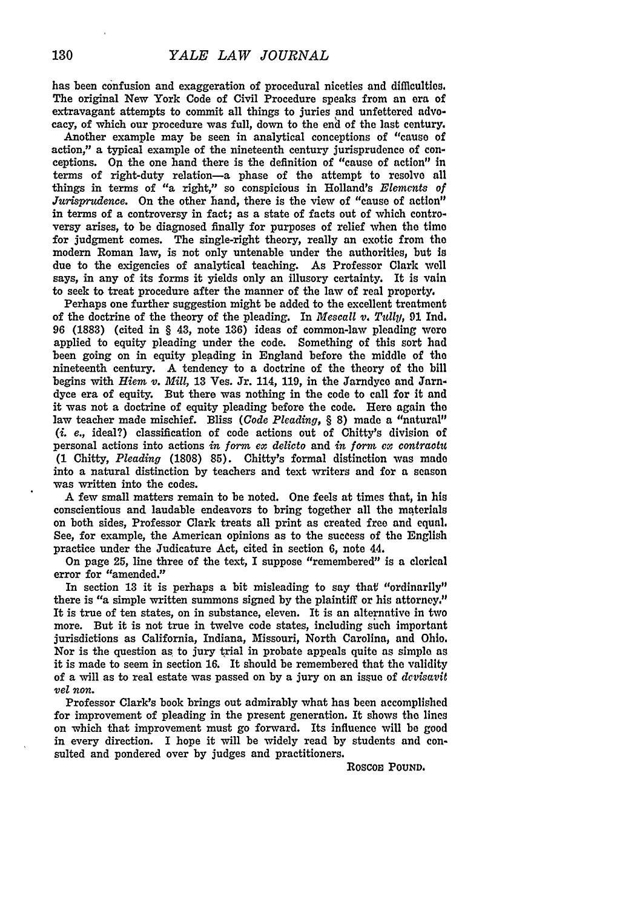has been confusion and exaggeration of procedural niceties and difficulties. The original New York Code of Civil Procedure speaks from an era of extravagant attempts to commit all things to juries and unfettered advocacy, of which our procedure was full, down to the end of the last century.

Another example may be seen in analytical conceptions of "cause of action," a typical example of the nineteenth century jurisprudence of conceptions. On the one hand there is the definition of "cause of action" in terms of right-duty relation-a phase of the attempt to resolve all things in terms of "a right," so conspicious in Holland's *Elements of Jurisprudence.* On the other hand, there is the view of "cause of action" in terms of a controversy in fact; as a state of facts out of which controversy arises, to be diagnosed finally for purposes of relief when the time for judgment comes. The single-right theory, really an exotic from the modern Roman law, is not only untenable under the authorities, but is due to the exigencies of analytical teaching. As Professor Clark well says, in any of its forms it yields only an illusory certainty. It is vain to seek to treat procedure after the manner of the law of real property.

Perhaps one further suggestion might be added to the excellent treatment of the doctrine of the theory of the pleading. In *Mescall v. Tully,* 91 Ind. 96 (1883) (cited in § 43, note **136)** ideas of common-law pleading were applied to equity pleading under the code. Something of this sort had been going on in equity pleading in England before the middle of the nineteenth century. A tendency to a doctrine of the theory of the bill begins with *Hiem v. Mill,* **13** Ves. Jr. 114, **119,** in the Jarndyco and **Jarn**dyce era of equity. But there was nothing in the code to call for it and it was not a doctrine of equity pleading before the code. Here again the law teacher made mischief. Bliss *(Code Pleading, §* **8)** made a "natural" *(i. e.,* ideal?) classification of code actions out of Chitty's division of personal actions into actions *in form er delicto* and *in form* **ex** *contraotu* **(1** Chitty, *Pleading* **(1808) 85).** Chitty's formal distinction was made into a natural distinction by teachers and text writers and for a season was written into the codes.

A few small matters remain to be noted. One feels at times that, in his conscientious and laudable endeavors to bring together all the materials on both sides, Professor Clark treats all print as created free and equal. See, for example, the American opinions as to the success of the English practice under the Judicature Act, cited in section 6, note 44.

On page 25, line three of the text, I suppose "remembered" is a clerical error for "amended."

In section **13** it is perhaps a bit misleading to say that "ordinarily" there is "a simple written summons signed by the plaintiff or his attorney." It is true of ten states, on in substance, eleven. It is an alternative in two more. But it is not true in twelve code states, including such important jurisdictions as California, Indiana, Missouri, North Carolina, and Ohio. Nor is the question as to jury trial in probate appeals quite as simple **as** it is made to seem in section 16. It should be remembered that the validity of a will as to real estate was passed on by a jury on an issue of *devisavil vel non.*

Professor Clark's book brings out admirably what has been accomplished for improvement of pleading in the present generation. It shows the lines on which that improvement must go forward. Its influence will **be** good in every direction. I hope it will be widely read by students and consulted and pondered over by judges and practitioners.

Roscoe **POUND.**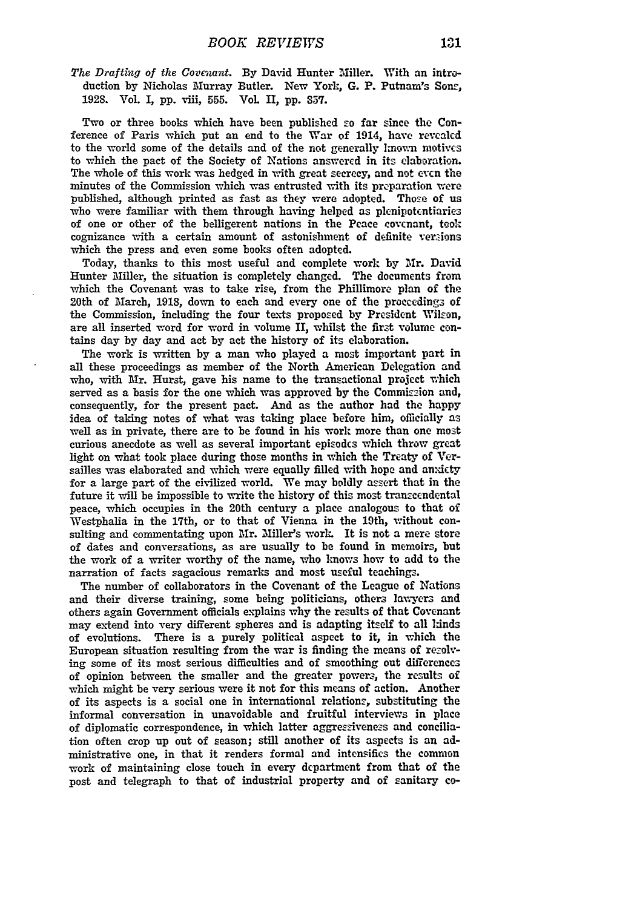*The Drafting of the Covenant.* **By** David Hunter Miller. With an introduction **by** Nicholas Murray Butler. New York, **G.** P. Putnam's Sons, 1928. Vol. I, pp. viii, **555.** Vol II, **pp. 857.**

Two or three books which have been published so far since the Conference of Paris which put an end to the War of 1914, have revealed to the world some of the details and of the not generally lmown motives to which the pact **of** the Society of Nations answered in its elaboration. The whole of this work was hedged in with great secrecy, and not evcn the minutes of the Commission which was entrusted with its preparation were published, although printed as fast as they were adopted. Those of us who were familiar with them through having helped as plenipotentiaries of one or other of the belligerent nations in the Peace covenant, took cognizance with a certain amount of astonishment of definite versions which the press and even some books often adopted.

Today, thanks to this most useful and complete work by **Mr.** David Hunter Miller, the situation is completely changed. The documents from which the Covenant was to take rise, from the Phillimore plan of the 20th of March, **1918,** down to each and every one of the proceedings of the Commission, including the four te.ts proposed **by** President Wilson, are all inserted word for word in volume II, whilst the first volume contains day by day and act by act the history of its elaboration.

The work is written **by** a man who played a most important part in all these proceedings as member of the North American Delegation and who, with Mr. Hurst, gave his name to the transactional project which served as a basis for the one which was approved **by** the Commission and, consequently, for the present pact. And as the author had the happy idea of taking notes of what was taking place before him, officially **as** well as in private, there are to be found in his work more than one most curious anecdote as well as several important episodes which throw great light on what took place during those months in which the Treaty of Versailles was elaborated and which were equally filled with hope and anxiety for a large part of the civilized world. We may boldly assert that in the future it will be impossible to write the history of this most transcendental peace, which occupies in the 20th century a place analogous to that of Westphalia in the 17th, or to that of Vienna in the 19th, without consulting and commentating upon Mr. Miller's work. It is not a mere store of dates and conversations, as are usually to be found in memoirs, but the work of a writer worthy of the name, who knows how to add to the narration of facts sagacious remarks and most useful teachings.

The number of collaborators in the Covenant of the League of Nations and their diverse training, some being politicians, others lawyers and others again Government officials explains why the results of that Covenant may extend into very different spheres and is adapting itself to all kinds of evolutions. There is a purely political aspect to it, in which the European situation resulting from the war is finding the means of rezolving some of its most serious difficulties and of smoothing out differences of opinion between the smaller and the greater powers, the results of which might be very serious were it not for this means of action. Another of its aspects is a social one in international relations, substituting the informal conversation in unavoidable and fruitful interviews in place of diplomatic correspondence, in which latter aggressiveness and conciliation often crop up out of season; still another of its aspects is an administrative one, in that it renders formal and intensifies the common work of maintaining close touch in every department from that of the post and telegraph to that of industrial property and of sanitary co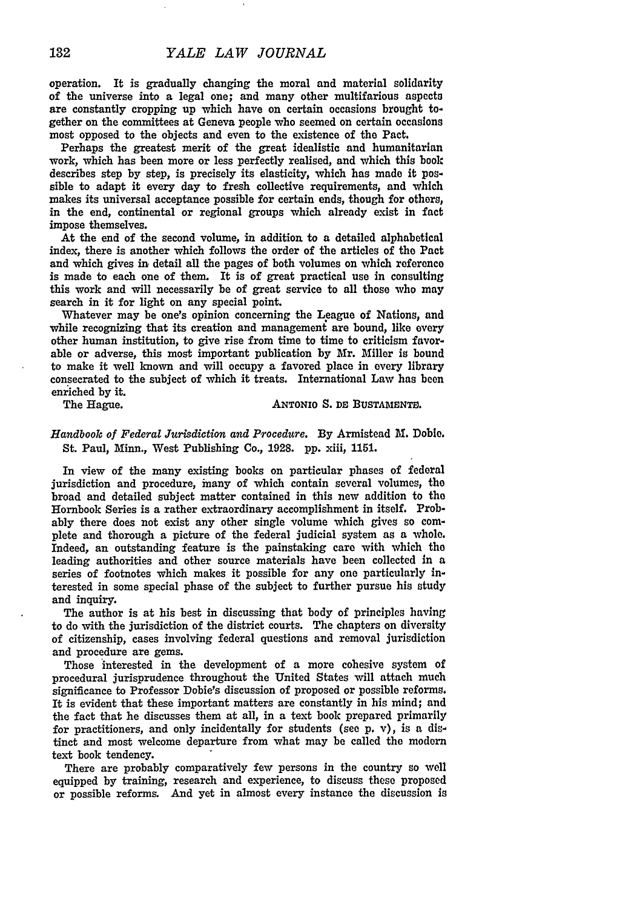operation. It is gradually changing the moral and material solidarity of the universe into a legal one; and many other multifarious aspects are constantly cropping up which have on certain occasions brought together on the committees at Geneva people who seemed on certain occasions most opposed to the objects and even to the existence of the Pact.

Perhaps the greatest merit of the great idealistic and humanitarian work, which has been more or less perfectly realised, and which this book describes step by step, is precisely its elasticity, which has made it possible to adapt it every day to fresh collective requirements, and which makes its universal acceptance possible for certain ends, though for others, in the end, continental or regional groups which already exist in fact impose themselves.

At the end of the second volume, in addition to a detailed alphabetical index, there is another which follows the order of the articles of the Pact and which gives in detail all the pages of both volumes on which reference is made to each one of them. It is of great practical use in consulting this work and will necessarily be of great service to all those who may search in it for light on any special point.

Whatever may be one's opinion concerning the League of Nations, and while recognizing that its creation and management are bound, like every other human institution, to give rise from time to time to criticism favorable or adverse, this most important publication by Mr. Miller is bound to make it well known and will occupy a favored place in every library consecrated to the subject of which it treats. International Law has been enriched by it.

The Hague. **ANTONIO S. DE BUSTAMENTE.** 

## *Handbook of Federal Jurisdiction and Procedure.* **By** Armistead M. Dobie. St. Paul, Minn., West Publishing Co., **1928. pp.** xiii, **1151.**

In view of the many existing books on particular phases of federal jurisdiction and procedure, many of which contain several volumes, the broad and detailed subject matter contained in this new addition to the Hornbook Series is a rather extraordinary accomplishment in itself. Probably there does not exist any other single volume which gives so complete and thorough a picture of the federal judicial system as a whole. Indeed, an outstanding feature is the painstaking care with which the leading authorities and other source materials have been collected in a series of footnotes which makes it possible for any one particularly interested in some special phase of the subject to further pursue his study and inquiry.

The author is at his best in discussing that body of principles having to do with the jurisdiction of the district courts. The chapters on diversity of citizenship, cases involving federal questions and removal jurisdiction and procedure are gems.

Those interested in the development of a more cohesive system of procedural jurisprudence throughout the United States will attach much significance to Professor Dobie's discussion of proposed or possible reforms. It is evident that these important matters are constantly in his mind; and the fact that he discusses them at all, in a text book prepared primarily for practitioners, and only incidentally for students (see p. v), is a distinct and most welcome departure from what may be called the modern text book tendency.

There are probably comparatively few persons in the country so well equipped by training, research and experience, to discuss these proposed or possible reforms. And yet in almost every instance the discussion is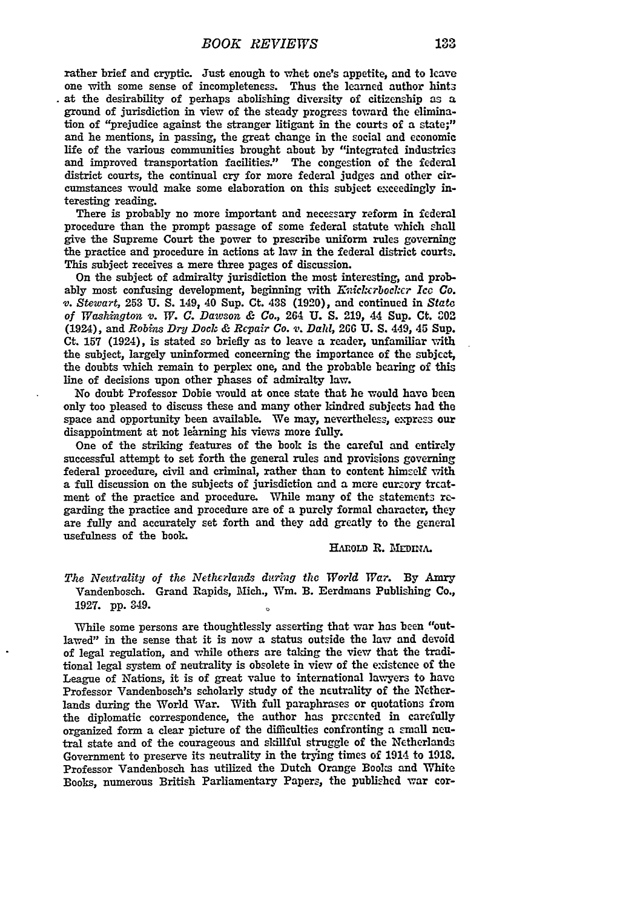rather brief and cryptic. Just enough to whet one's appetite, and to leave one with some sense of incompleteness. Thus the learned author hints at the desirability of perhaps abolishing diversity of citizenship as a ground of jurisdiction in view of the steady progress toward the elimination of "prejudice against the stranger litigant in the courts of a state;" and he mentions, in passing, the great change in the social and economic life of the various communities brought about by "integrated industries and improved transportation facilities.' The congestion of the federal district courts, the continual cry for more federal judges and other circumstances would make some elaboration on this subject exceedingly **in**teresting reading.

There is probably no more important and necessary reform in federal procedure than the prompt passage of some federal statute which shall give the Supreme Court the power to prescribe uniform rules governing the practice and procedure in actions at law in the federal district courts. This subject receives a mere three pages of discussion.

On the subject of admiralty jurisdiction the most interesting, and probably most confusing development, beginning with *Knickcrbocker Ice Co. v. Stewart,* **253 U. S.** 149, 40 Sup. Ct. 433 **(1920),** and continued in *State of Washington v. W. G. Dawson & Co.,* 264 **U. S.** 219, 44 Sup. Ct. 002 (1924), and *Robins Dry Dock & Repair Co. v,. Dahld* 266 **U. S.** 449, 45 Sup. Ct. **157** (1924), is stated so briefly as to leave a reader, unfamiliar with the subject, largely uninformed concerning the importance of the subject, the doubts which remain to perplex one, and the probable bearing of this line of decisions upon other phases of admiralty law.

No doubt Professor Dobie would at once state that he would have been only too pleased to discuss these and many other kindred subjects had the space and opportunity been available. We may, nevertheless, express our disappointment at not learning his views more fully.

One of the striking features of the book is the careful and entirely successful attempt to set forth the general rules and provisions governing federal procedure, civil and criminal, rather than to content himself with a full discussion on the subjects of jurisdiction and a mere curzory treatment of the practice and procedure. While many of the statements **re**garding the practice and procedure are of a purely formal character, they are fully and accurately set forth and they add greatly to the general usefulness of the book.

## HAROLD R. MEDINA.

## *The Neutrality of thw Netherlands during the World War.* **By** Amry Vandenbosch. Grand Rapids, Mich., Wm. B. Eerdmans Publishing Co., 1927. **pp.** 349.

While some persons are thoughtlessly asserting that war has been "outlawed" in the sense that it is now a status outside the law and devoid of legal regulation, and while others are taking the view that the traditional legal system of neutrality is obsolete in view of the existence of the League of Nations, it is of great value to international lawyers to have Professor Vandenboseh's scholarly study of the neutrality of the Netherlands during the World War. With full paraphrases or quotations from the diplomatic correspondence, the author has presented in carefully organized form a clear picture of the difficulties confronting a small neutral state and of the courageous and skillful struggle of the Netherlands Government to preserve its neutrality in the trying times of 1914 to **191.** Professor Vandenbosch has utilized the Dutch Orange Bools and White Books, numerous British Parliamentary Papers, the published war cor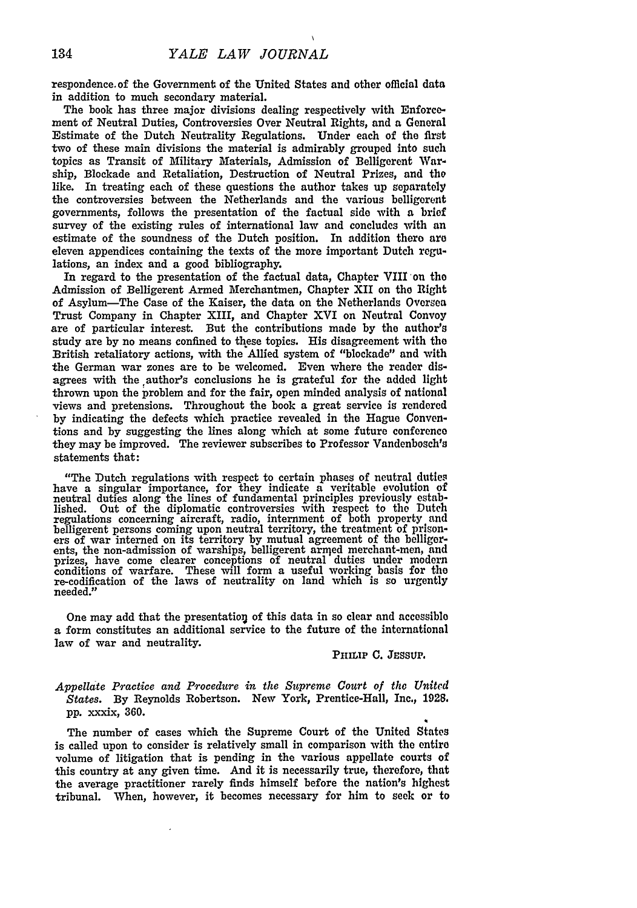respondence. of the Government of the United States and other official data in addition to much secondary material.

The book has three major divisions dealing respectively with Enforcement of Neutral Duties, Controversies Over Neutral Rights, and a General Estimate of the Dutch Neutrality Regulations. Under each of the first two of these main divisions the material is admirably grouped into such topics as Transit of Military Materials, Admission of Belligerent Warship, Blockade and Retaliation, Destruction of Neutral Prizes, and the like. In treating each of these questions the author takes up separately the controversies between the Netherlands and the various belligerent governments, follows the presentation of the factual side with **a** brief survey of the existing rules of international law and concludes with an estimate of the soundness of the Dutch position. In addition there are eleven appendices containing the texts of the more important Dutch regulations, an index and a good bibliography.

In regard to the presentation of the factual data, Chapter VIII on the Admission of Belligerent Armed Merchantmen, Chapter XII on the Right of Asylum-The Case of the Kaiser, the data on the Netherlands Oversea Trust Company in Chapter XIII, and Chapter XVI on Neutral Convoy are of particular interest. But the contributions made by the author's study are by no means confined to these topics. His disagreement with the British retaliatory actions, with the Allied system of "blockade" and with the German war zones are to be welcomed. Even where the reader disagrees with the author's conclusions he is grateful for the added light thrown upon the problem and for the fair, open minded analysis of national views and pretensions. Throughout the book a great service is rendered by indicating the defects which practice revealed in the Hague Conventions and by suggesting the lines along which at some future conference they may be improved. The reviewer subscribes to Professor Vandenbosch's statements that:

"The Dutch regulations with respect to certain phases of neutral duties have a singular importance, for they indicate a veritable evolution of neutral duties along the lines of fundamental principles previously established. Out of the diplomatic controversies with respect to the Dutch regulations concerning aircraft, radio, internment of both property and belligerent persons coming upon neutral territory, the treatment of prison- ers of war interned on its territory by mutual agreement of the belliger-ents, the non-admission of warships, belligerent armed merchant-men, and prizes, have come clearer conceptions of neutral duties under modern conditions of warfare. These will form a useful working basis for the re-codification of the laws of neutrality on land which is so urgently needed."

One may add that the presentatioq of this data in so clear and accessible a form constitutes an additional service to the future of the international law of war and neutrality.

PHILIP C. JESSUP.

*Appellate Practice and Procedure in the Supreme Court of the United States.* **By** Reynolds Robertson. New York, Prentice-Hall, Inc., 1928. pp. xxxix, 360.

The number of cases which the Supreme Court of the United States is called upon to consider is relatively small in comparison with the entire volume of litigation that is pending in the various appellate courts of this country at any given time. And it is necessarily true, therefore, that the average practitioner rarely finds himself before the nation's highest tribunal. When, however, it becomes necessary for him to seek or to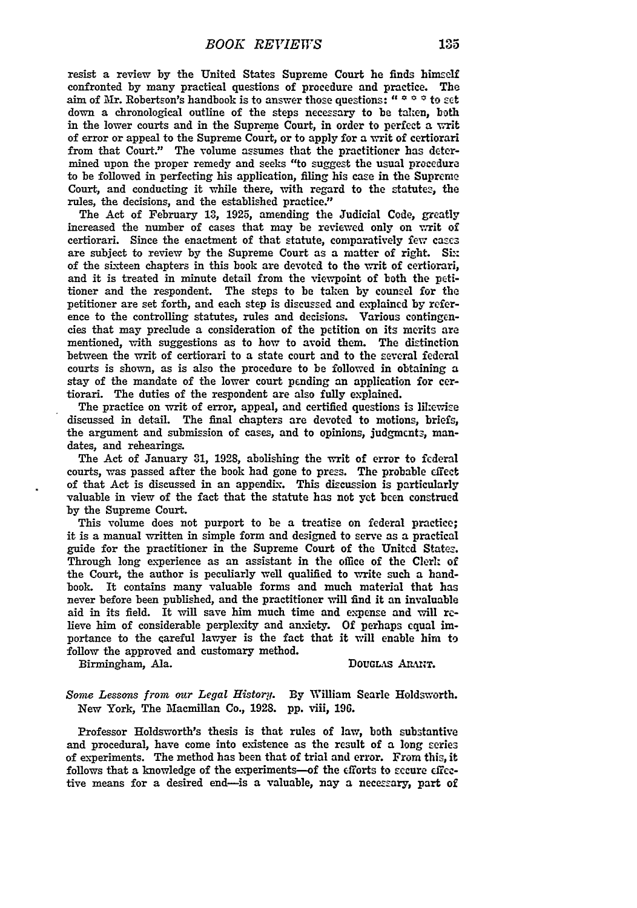resist a review by the United States Supreme Court he finds himself confronted by many practical questions of procedure and practice. The aim of Mr. Robertson's handbook is to answer those questions:  $\mathbf{u} \cdot \mathbf{v} \cdot \mathbf{v}$  to set down a chronological outline of the steps necessary to be taken, both in the lower courts and in the Supreme Court, in order to perfect a writ of error or appeal to the Supreme Court, or to apply for a writ of certiorari from that Court." The volume assumes that the practitioner has determined upon the proper remedy and seeks "to suggest the usual procedura to be followed in perfecting his application, filing his case in the Supreme Court, and conducting it while there, with regard to the statutes, the rules, the decisions, and the established practice."

The Act of February **13,** 1925, amending the Judicial Code, greatly increased the number of cases that may be reviewed only on writ of certiorari. Since the enactment of that statute, comparatively few cascs are subject to review by the Supreme Court as a matter of right. Six of the sixteen chapters in this book are devoted to the writ of certiorari, and it is treated in minute detail from the viewpoint of both the petitioner and the respondent. The steps to be taken **by** counsel for the petitioner are set forth, and each step is discussed and explaincd **by** reference to the controlling statutes, rules and decisions. Various contingencies that may preclude a consideration of the petition on its merits are mentioned, with suggestions as to how to avoid them. The distinction between the writ of certiorari to a state court and to the several federal courts is shown, as is also the procedure to be followed in obtaining a stay of the mandate of the lower court pending an application for certiorari. The duties of the respondent are also fully explained.

The practice on writ of error, appeal, and certified questions is likewise discussed in detail. The final chapters are devoted to motions, briefs, the argument and submission of cases, and to opinions, judgmcnts, mandates, and rehearings.

The Act of January *31,* 1928, abolishing the writ of error to fcderal courts, was passed after the book had gone to press. The probable effect of that Act is discussed in an appendix. This discussion is particularly valuable in view of the fact that the statute has not yet been construed by the Supreme Court.

This volume does not purport to be a treatise on federal practice; it is a manual written in simple form and designed to serve as a practical guide for the practitioner in the Supreme Court of the United States. Through long experience as an assistant in the office of the Clerl: of the Court, the author is peculiarly well qualified to write such a handbook. It contains many valuable forms and much material that has never before been published, and the practitioner will find it an invaluable aid in its field. It will save him much time and expense and will relieve him of considerable perplexity and anxiety. Of perhaps equal importance to the careful lawyer is the fact that it will enable him to follow the approved and customary method.

Birmingham, Ala. **DOUGLAS ARANT.** 

*Some Lessons from our Legal History.* **By** William Searle Holdsworth. New York, The Macmillan Co., 1928. **pp.** viii, **190.**

Professor Holdsworth's thesis is that rules of law, both substantive and procedural, have come into existence as the result of a long series of experiments. The method has been that of trial and error. From this, it follows that a knowledge of the experiments-of the efforts to secure effective means for a desired end-is a valuable, nay a necessary, part of